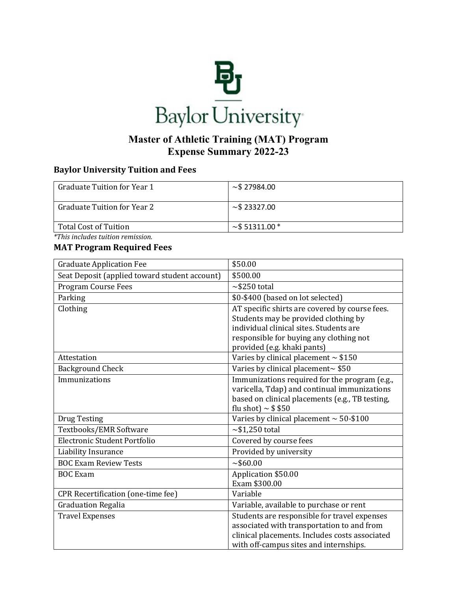

## **Master of Athletic Training (MAT) Program Expense Summary 2022-23**

## **Baylor University Tuition and Fees**

| <b>Graduate Tuition for Year 1</b> | $\sim$ \$27984.00     |
|------------------------------------|-----------------------|
| Graduate Tuition for Year 2        | $\sim$ \$23327.00     |
| Total Cost of Tuition              | $\sim$ \$51311.00 $*$ |

*\*This includes tuition remission.* 

## **MAT Program Required Fees**

| <b>Graduate Application Fee</b>               | \$50.00                                         |
|-----------------------------------------------|-------------------------------------------------|
| Seat Deposit (applied toward student account) | \$500.00                                        |
| Program Course Fees                           | $\sim$ \$250 total                              |
| Parking                                       | \$0-\$400 (based on lot selected)               |
| Clothing                                      | AT specific shirts are covered by course fees.  |
|                                               | Students may be provided clothing by            |
|                                               | individual clinical sites. Students are         |
|                                               | responsible for buying any clothing not         |
| Attestation                                   | provided (e.g. khaki pants)                     |
|                                               | Varies by clinical placement $\sim$ \$150       |
| <b>Background Check</b>                       | Varies by clinical placement~ \$50              |
| Immunizations                                 | Immunizations required for the program (e.g.,   |
|                                               | varicella, Tdap) and continual immunizations    |
|                                               | based on clinical placements (e.g., TB testing, |
|                                               | flu shot) $\sim$ \$ \$50                        |
| <b>Drug Testing</b>                           | Varies by clinical placement $\sim$ 50-\$100    |
| Textbooks/EMR Software                        | $\sim$ \$1,250 total                            |
| Electronic Student Portfolio                  | Covered by course fees                          |
| Liability Insurance                           | Provided by university                          |
| <b>BOC Exam Review Tests</b>                  | ~100.00                                         |
| <b>BOC</b> Exam                               | Application \$50.00                             |
|                                               | Exam \$300.00                                   |
| CPR Recertification (one-time fee)            | Variable                                        |
| <b>Graduation Regalia</b>                     | Variable, available to purchase or rent         |
| <b>Travel Expenses</b>                        | Students are responsible for travel expenses    |
|                                               | associated with transportation to and from      |
|                                               | clinical placements. Includes costs associated  |
|                                               | with off-campus sites and internships.          |